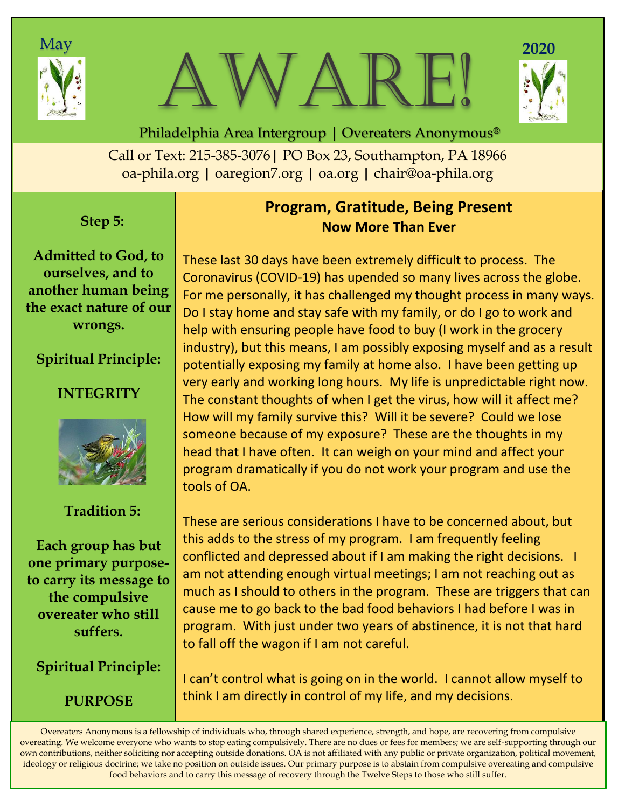





Call or Text: 215-385-3076**|** PO Box 23, Southampton, PA 18966 oa-phila.org **|** [oaregion7.org](file:///C:/Users/Owner/Documents/oaregion7.org) **|** oa.org **|** chair@oa-phila.org Philadelphia Area Intergroup | Overeaters Anonymous®

#### **Step 5:**

**Admitted to God, to ourselves, and to another human being the exact nature of our wrongs.**

## **Spiritual Principle:**

## **INTEGRITY**



## **Tradition 5:**

**Each group has but one primary purposeto carry its message to the compulsive overeater who still suffers.**

**Spiritual Principle:**

**PURPOSE**

## **Program, Gratitude, Being Present Now More Than Ever**

These last 30 days have been extremely difficult to process. The Coronavirus (COVID-19) has upended so many lives across the globe. For me personally, it has challenged my thought process in many ways. Do I stay home and stay safe with my family, or do I go to work and help with ensuring people have food to buy (I work in the grocery industry), but this means, I am possibly exposing myself and as a result potentially exposing my family at home also. I have been getting up very early and working long hours. My life is unpredictable right now. The constant thoughts of when I get the virus, how will it affect me? How will my family survive this? Will it be severe? Could we lose someone because of my exposure? These are the thoughts in my head that I have often. It can weigh on your mind and affect your program dramatically if you do not work your program and use the tools of OA.

These are serious considerations I have to be concerned about, but this adds to the stress of my program. I am frequently feeling conflicted and depressed about if I am making the right decisions. I am not attending enough virtual meetings; I am not reaching out as much as I should to others in the program. These are triggers that can cause me to go back to the bad food behaviors I had before I was in program. With just under two years of abstinence, it is not that hard to fall off the wagon if I am not careful.

I can't control what is going on in the world. I cannot allow myself to think I am directly in control of my life, and my decisions.

Overeaters Anonymous is a fellowship of individuals who, through shared experience, strength, and hope, are recovering from compulsive overeating. We welcome everyone who wants to stop eating compulsively. There are no dues or fees for members; we are self-supporting through our own contributions, neither soliciting nor accepting outside donations. OA is not affiliated with any public or private organization, political movement, ideology or religious doctrine; we take no position on outside issues. Our primary purpose is to abstain from compulsive overeating and compulsive food behaviors and to carry this message of recovery through the Twelve Steps to those who still suffer.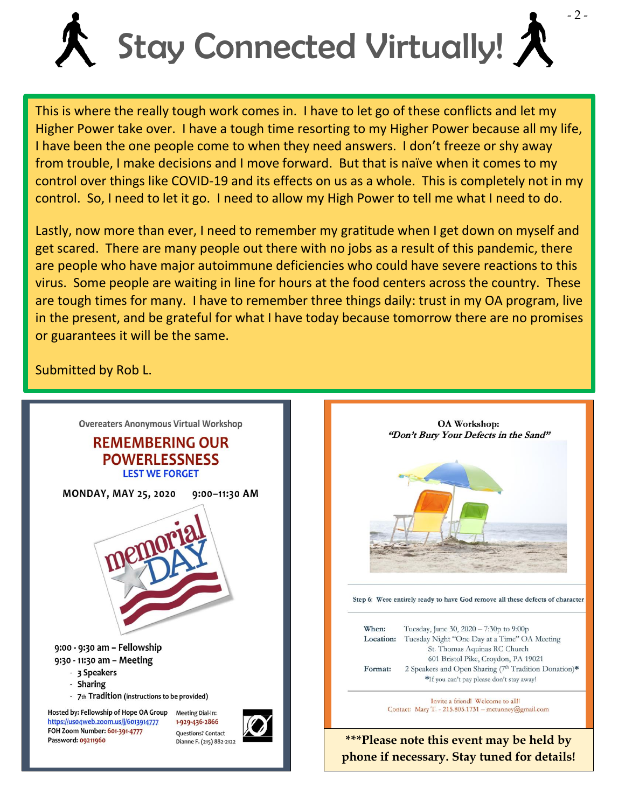

This is where the really tough work comes in. I have to let go of these conflicts and let my Higher Power take over. I have a tough time resorting to my Higher Power because all my life, I have been the one people come to when they need answers. I don't freeze or shy away from trouble, I make decisions and I move forward. But that is naïve when it comes to my control over things like COVID-19 and its effects on us as a whole. This is completely not in my control. So, I need to let it go. I need to allow my High Power to tell me what I need to do.

Lastly, now more than ever, I need to remember my gratitude when I get down on myself and get scared. There are many people out there with no jobs as a result of this pandemic, there are people who have major autoimmune deficiencies who could have severe reactions to this virus. Some people are waiting in line for hours at the food centers across the country. These are tough times for many. I have to remember three things daily: trust in my OA program, live in the present, and be grateful for what I have today because tomorrow there are no promises or guarantees it will be the same.

Submitted by Rob L.





**\*\*\*Please note this event may be held by phone if necessary. Stay tuned for details!**

closer.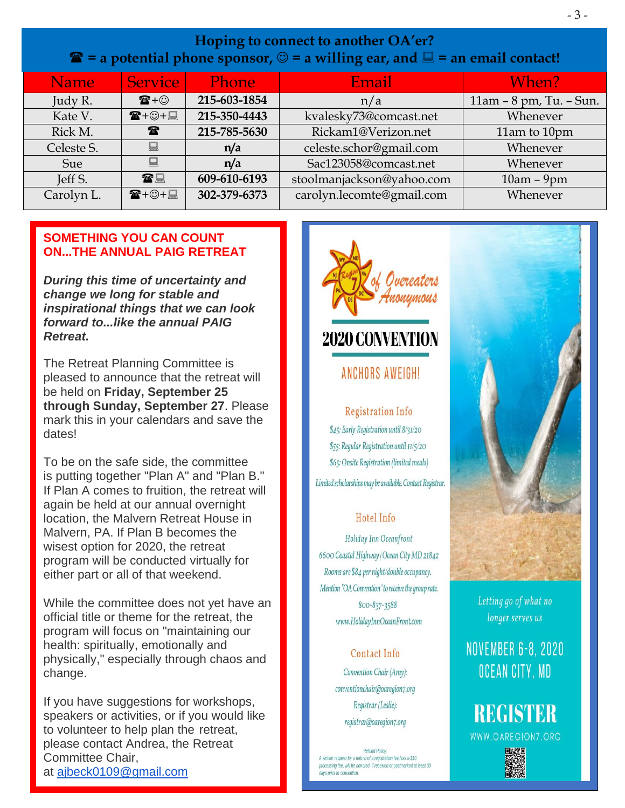| <b>Name</b> | <b>Service</b>       | <b>Phone</b> | Email                     | When?                   |
|-------------|----------------------|--------------|---------------------------|-------------------------|
| Judy R.     | $\mathbf{E} + \odot$ | 215-603-1854 | n/a                       | 11am - 8 pm, Tu. - Sun. |
| Kate V.     | ☎+☺+圓                | 215-350-4443 | kvalesky73@comcast.net    | Whenever                |
| Rick M.     | $\mathbf{r}$         | 215-785-5630 | Rickam1@Verizon.net       | 11am to 10pm            |
| Celeste S.  | 鳳                    | n/a          | celeste.schor@gmail.com   | Whenever                |
| Sue         | 鳳                    | n/a          | Sac123058@comcast.net     | Whenever                |
| Jeff S.     | 雷口                   | 609-610-6193 | stoolmanjackson@yahoo.com | $10am - 9pm$            |
| Carolyn L.  | ☎+☺+圓                | 302-379-6373 | carolyn.lecomte@gmail.com | Whenever                |

#### **SOMETHING YOU CAN COUNT ON...THE ANNUAL PAIG RETREAT**

*During this time of uncertainty and change we long for stable and inspirational things that we can look forward to...like the annual PAIG Retreat.*

The Retreat Planning Committee is pleased to announce that the retreat will be held on **Friday, September 25 through Sunday, September 27**. Please mark this in your calendars and save the dates!

To be on the safe side, the committee is putting together "Plan A" and "Plan B." If Plan A comes to fruition, the retreat will again be held at our annual overnight location, the Malvern Retreat House in Malvern, PA. If Plan B becomes the wisest option for 2020, the retreat program will be conducted virtually for either part or all of that weekend.

While the committee does not yet have an official title or theme for the retreat, the program will focus on "maintaining our health: spiritually, emotionally and physically," especially through chaos and change.

If you have suggestions for workshops, speakers or activities, or if you would like to volunteer to help plan the retreat, please contact Andrea, the Retreat Committee Chair, at [ajbeck0109@gmail.com](mailto:ajbeck0109@gmail.com)





#### **ANCHORS AWFIGH!**

**Registration Info** \$45: Early Registration until 8/31/20 \$55: Reqular Registration until 11/5/20 \$65: Onsite Registration (limited meals)

# Limited scholarships may be available. Contact Registrar.

#### Hotel Info

Holiday Inn Oceanfront 6600 Coastal Highway | Ocean City MD 21842 Rooms are \$84 per night/double occupancy. Mention "OA Convention" to receive the group rate. 800-837-3588 www.HolidayInnOceanFront.com

# Contact Info

Convention Chair (Amy): conventionchair@oaregion7.org Registrar (Leslie): registrar@oaregion7.org

**Refund Policy:** A written request for a refund of a registration fee,less a \$10 processing fee, will be honored if received or postmarked at least 30



Letting go of what no longer serves us

# **NOVEMBER 6-8, 2020** OCEAN CITY, MD